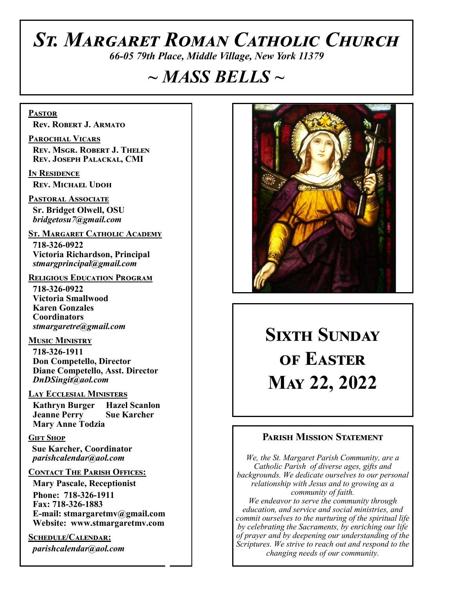# *St. Margaret Roman Catholic Church*

*66-05 79th Place, Middle Village, New York 11379*

# *~ MASS BELLS ~*

**Pastor Rev. Robert J. Armato**

**Parochial Vicars Rev. Msgr. Robert J. Thelen Rev. Joseph Palackal, CMI**

**In Residence Rev. Michael Udoh**

**Pastoral Associate Sr. Bridget Olwell, OSU**  *bridgetosu7@gmail.com*

**St. Margaret Catholic Academy**

 **718-326-0922 Victoria Richardson, Principal**  *stmargprincipal@gmail.com*

#### **Religious Education Program**

 **718-326-0922 Victoria Smallwood Karen Gonzales Coordinators** *stmargaretre@gmail.com*

**Music Ministry** 

 **718-326-1911 Don Competello, Director Diane Competello, Asst. Director** *DnDSingit@aol.com*

#### **Lay Ecclesial Ministers**

 **Kathryn Burger Hazel Scanlon Jeanne Perry Sue Karcher Mary Anne Todzia**

#### **Gift Shop**

 **Sue Karcher, Coordinator** *parishcalendar@aol.com*

#### **Contact The Parish Offices:**

 **Mary Pascale, Receptionist Phone: 718-326-1911 Fax: 718-326-1883 E-mail: stmargaretmv@gmail.com Website: www.stmargaretmv.com**

**Schedule/Calendar:** *parishcalendar@aol.com*



# **Sixth Sunday of Easter May 22, 2022**

#### **Parish Mission Statement**

*We, the St. Margaret Parish Community, are a Catholic Parish of diverse ages, gifts and backgrounds. We dedicate ourselves to our personal relationship with Jesus and to growing as a community of faith. We endeavor to serve the community through education, and service and social ministries, and commit ourselves to the nurturing of the spiritual life by celebrating the Sacraments, by enriching our life of prayer and by deepening our understanding of the Scriptures. We strive to reach out and respond to the changing needs of our community.*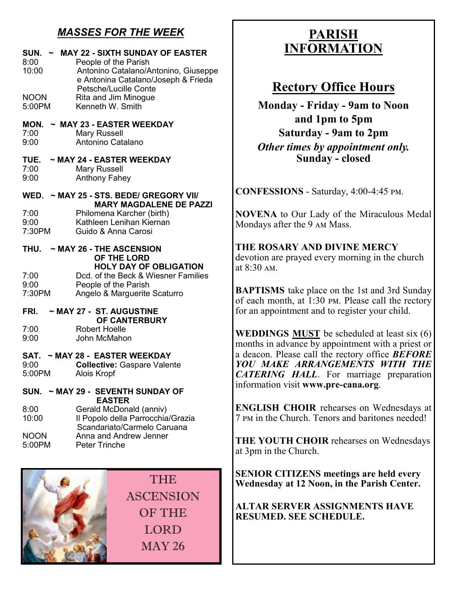## *MASSES FOR THE WEEK*

| SUN.<br>8:00<br>10:00<br><b>NOON</b><br>5:00PM | ~ MAY 22 - SIXTH SUNDAY OF EASTER<br>People of the Parish<br>Antonino Catalano/Antonino, Giuseppe<br>e Antonina Catalano/Joseph & Frieda<br><b>Petsche/Lucille Conte</b><br>Rita and Jim Minogue<br>Kenneth W. Smith |
|------------------------------------------------|----------------------------------------------------------------------------------------------------------------------------------------------------------------------------------------------------------------------|
| MON.<br>7:00<br>9:00                           | $\sim$ MAY 23 - EASTER WEEKDAY<br><b>Mary Russell</b><br>Antonino Catalano                                                                                                                                           |
| TUE.<br>7:00<br>9:00                           | $\sim$ MAY 24 - EASTER WEEKDAY<br><b>Mary Russell</b><br><b>Anthony Fahey</b>                                                                                                                                        |
| 7:00<br>9:00<br>7:30PM                         | WED. ~ MAY 25 - STS. BEDE/ GREGORY VII/<br><b>MARY MAGDALENE DE PAZZI</b><br>Philomena Karcher (birth)<br>Kathleen Lenihan Kiernan<br>Guido & Anna Carosi                                                            |
| THU.<br>7:00<br>9:00<br>7:30PM                 | $\sim$ MAY 26 - THE ASCENSION<br>OF THE LORD<br><b>HOLY DAY OF OBLIGATION</b><br>Dcd. of the Beck & Wiesner Families<br>People of the Parish<br>Angelo & Marguerite Scaturro                                         |
| FRI.<br>7:00<br>9:00                           | $\sim$ MAY 27 - ST. AUGUSTINE<br>OF CANTERBURY<br>Robert Hoelle<br>John McMahon                                                                                                                                      |
| 9:00<br>5:00PM                                 | SAT. ~ MAY 28 - EASTER WEEKDAY<br><b>Collective: Gaspare Valente</b><br>Alois Kropf                                                                                                                                  |
| 8:00<br>10:00<br><b>NOON</b><br>5:00PM         | SUN. ~ MAY 29 - SEVENTH SUNDAY OF<br><b>EASTER</b><br>Gerald McDonald (anniv)<br>Il Popolo della Parrocchia/Grazia<br>Scandariato/Carmelo Caruana<br>Anna and Andrew Jenner<br><b>Peter Trinche</b>                  |

THE **ASCENSION** OF THE LORD MAY 26

## **PARISH INFORMATION**

## **Rectory Office Hours**

**Monday - Friday - 9am to Noon and 1pm to 5pm Saturday - 9am to 2pm** *Other times by appointment only.* **Sunday - closed**

**CONFESSIONS** - Saturday, 4:00-4:45 pm.

**NOVENA** to Our Lady of the Miraculous Medal Mondays after the 9 am Mass.

**THE ROSARY AND DIVINE MERCY** devotion are prayed every morning in the church at 8:30 am.

**BAPTISMS** take place on the 1st and 3rd Sunday of each month, at 1:30 pm. Please call the rectory for an appointment and to register your child.

**WEDDINGS MUST** be scheduled at least six (6) months in advance by appointment with a priest or a deacon. Please call the rectory office *BEFORE YOU MAKE ARRANGEMENTS WITH THE CATERING HALL*. For marriage preparation information visit **www.pre-cana.org**.

**ENGLISH CHOIR** rehearses on Wednesdays at 7 pm in the Church. Tenors and baritones needed!

**THE YOUTH CHOIR** rehearses on Wednesdays at 3pm in the Church.

**SENIOR CITIZENS meetings are held every Wednesday at 12 Noon, in the Parish Center.** 

**ALTAR SERVER ASSIGNMENTS HAVE RESUMED. SEE SCHEDULE.**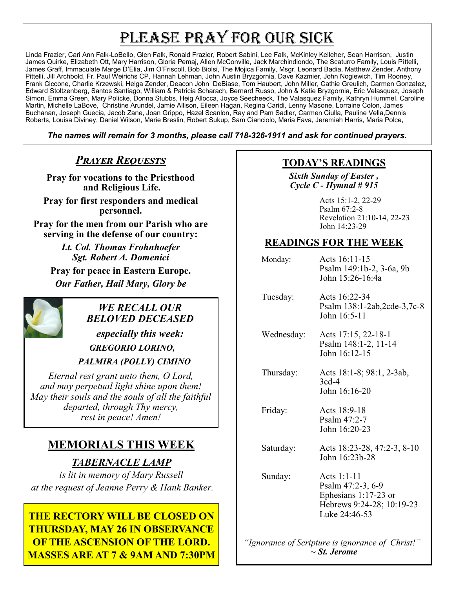# PLEASE PRAY FOR OUR SICK

Linda Frazier, Cari Ann Falk-LoBello, Glen Falk, Ronald Frazier, Robert Sabini, Lee Falk, McKinley Kelleher, Sean Harrison, Justin James Quirke, Elizabeth Ott, Mary Harrison, Gloria Pemaj, Allen McConville, Jack Marchindiondo, The Scaturro Family, Louis Pittelli, James Graff, Immaculate Marge D'Elia, Jim O'Friscoll, Bob Biolsi, The Mojica Family, Msgr. Leonard Badia, Matthew Zender, Anthony Pittelli, Jill Archbold, Fr. Paul Weirichs CP, Hannah Lehman, John Austin Bryzgornia, Dave Kazmier, John Nogiewich, Tim Rooney, Frank Ciccone, Charlie Krzewski, Helga Zender, Deacon John DeBiase, Tom Haubert, John Miller, Cathie Greulich, Carmen Gonzalez, Edward Stoltzenberg, Santos Santiago, William & Patricia Scharach, Bernard Russo, John & Katie Bryzgornia, Eric Velasquez, Joseph Simon, Emma Green, Mary Policke, Donna Stubbs, Heig Allocca, Joyce Seecheeck, The Valasquez Family, Kathryn Hummel, Caroline Martin, Michelle LaBove, Christine Arundel, Jamie Allison, Eileen Hagan, Regina Caridi, Lenny Masone, Lorraine Colon, James Buchanan, Joseph Guecia, Jacob Zane, Joan Grippo, Hazel Scanlon, Ray and Pam Sadler, Carmen Ciulla, Pauline Vella,Dennis Roberts, Louisa Diviney, Daniel Wilson, Marie Breslin, Robert Sukup, Sam Cianciolo, Maria Fava, Jeremiah Harris, Maria Polce,

*The names will remain for 3 months, please call 718-326-1911 and ask for continued prayers.*

## *Prayer Requests*

**Pray for vocations to the Priesthood and Religious Life.**

**Pray for first responders and medical personnel.**

**Pray for the men from our Parish who are serving in the defense of our country:**

> *Lt. Col. Thomas Frohnhoefer Sgt. Robert A. Domenici*

**Pray for peace in Eastern Europe.** *Our Father, Hail Mary, Glory be* 



## *WE RECALL OUR BELOVED DECEASED*

*especially this week: GREGORIO LORINO,* 

 *PALMIRA (POLLY) CIMINO* 

*Eternal rest grant unto them, O Lord, and may perpetual light shine upon them! May their souls and the souls of all the faithful departed, through Thy mercy, rest in peace! Amen!*

## **MEMORIALS THIS WEEK**

*TABERNACLE LAMP* 

*is lit in memory of Mary Russell at the request of Jeanne Perry & Hank Banker.* 

**THE RECTORY WILL BE CLOSED ON THURSDAY, MAY 26 IN OBSERVANCE OF THE ASCENSION OF THE LORD. MASSES ARE AT 7 & 9AM AND 7:30PM** 

### **TODAY'S READINGS**

*Sixth Sunday of Easter , Cycle C - Hymnal # 915* 

> Acts 15:1-2, 22-29 Psalm 67:2-8 Revelation 21:10-14, 22-23 John 14:23-29

### **READINGS FOR THE WEEK**

| Monday:    | Acts 16:11-15<br>Psalm 149:1b-2, 3-6a, 9b<br>John 15:26-16:4a                                          |
|------------|--------------------------------------------------------------------------------------------------------|
| Tuesday:   | Acts 16:22-34<br>Psalm 138:1-2ab, 2cde-3, 7c-8<br>John 16:5-11                                         |
| Wednesday: | Acts 17:15, 22-18-1<br>Psalm 148:1-2, 11-14<br>John 16:12-15                                           |
| Thursday:  | Acts 18:1-8; 98:1, 2-3ab,<br>$3cd-4$<br>John 16:16-20                                                  |
| Friday:    | Acts 18:9-18<br>Psalm 47:2-7<br>John 16:20-23                                                          |
| Saturday:  | Acts 18:23-28, 47:2-3, 8-10<br>John 16:23b-28                                                          |
| Sunday:    | Acts 1:1-11<br>Psalm 47:2-3, 6-9<br>Ephesians 1:17-23 or<br>Hebrews 9:24-28; 10:19-23<br>Luke 24:46-53 |

 *"Ignorance of Scripture is ignorance of Christ!" ~ St. Jerome*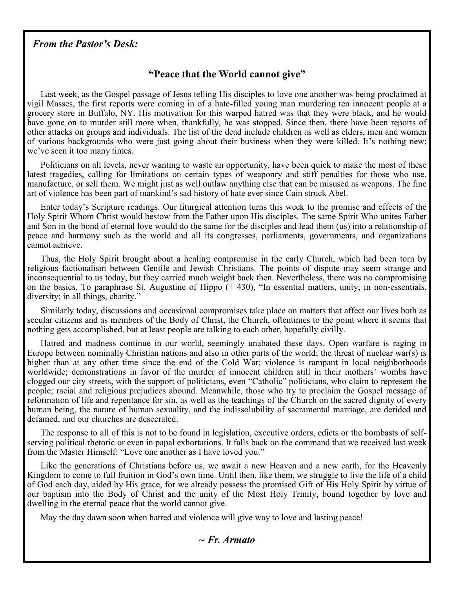#### *From the Pastor's Desk:*

#### **"Peace that the World cannot give"**

Last week, as the Gospel passage of Jesus telling His disciples to love one another was being proclaimed at vigil Masses, the first reports were coming in of a hate-filled young man murdering ten innocent people at a grocery store in Buffalo, NY. His motivation for this warped hatred was that they were black, and he would have gone on to murder still more when, thankfully, he was stopped. Since then, there have been reports of other attacks on groups and individuals. The list of the dead include children as well as elders, men and women of various backgrounds who were just going about their business when they were killed. It's nothing new; we've seen it too many times.

Politicians on all levels, never wanting to waste an opportunity, have been quick to make the most of these latest tragedies, calling for limitations on certain types of weaponry and stiff penalties for those who use, manufacture, or sell them. We might just as well outlaw anything else that can be misused as weapons. The fine art of violence has been part of mankind's sad history of hate ever since Cain struck Abel.

Enter today's Scripture readings. Our liturgical attention turns this week to the promise and effects of the Holy Spirit Whom Christ would bestow from the Father upon His disciples. The same Spirit Who unites Father and Son in the bond of eternal love would do the same for the disciples and lead them (us) into a relationship of peace and harmony such as the world and all its congresses, parliaments, governments, and organizations cannot achieve.

Thus, the Holy Spirit brought about a healing compromise in the early Church, which had been torn by religious factionalism between Gentile and Jewish Christians. The points of dispute may seem strange and inconsequential to us today, but they carried much weight back then. Nevertheless, there was no compromising on the basics. To paraphrase St. Augustine of Hippo (+ 430), "In essential matters, unity; in non-essentials, diversity; in all things, charity."

Similarly today, discussions and occasional compromises take place on matters that affect our lives both as secular citizens and as members of the Body of Christ, the Church, oftentimes to the point where it seems that nothing gets accomplished, but at least people are talking to each other, hopefully civilly.

Hatred and madness continue in our world, seemingly unabated these days. Open warfare is raging in Europe between nominally Christian nations and also in other parts of the world; the threat of nuclear war(s) is higher than at any other time since the end of the Cold War; violence is rampant in local neighborhoods worldwide; demonstrations in favor of the murder of innocent children still in their mothers' wombs have clogged our city streets, with the support of politicians, even "Catholic" politicians, who claim to represent the people; racial and religious prejudices abound. Meanwhile, those who try to proclaim the Gospel message of reformation of life and repentance for sin, as well as the teachings of the Church on the sacred dignity of every human being, the nature of human sexuality, and the indissolubility of sacramental marriage, are derided and defamed, and our churches are desecrated.

The response to all of this is not to be found in legislation, executive orders, edicts or the bombasts of selfserving political rhetoric or even in papal exhortations. It falls back on the command that we received last week from the Master Himself: "Love one another as I have loved you."

Like the generations of Christians before us, we await a new Heaven and a new earth, for the Heavenly Kingdom to come to full fruition in God's own time. Until then, like them, we struggle to live the life of a child of God each day, aided by His grace, for we already possess the promised Gift of His Holy Spirit by virtue of our baptism into the Body of Christ and the unity of the Most Holy Trinity, bound together by love and dwelling in the eternal peace that the world cannot give.

May the day dawn soon when hatred and violence will give way to love and lasting peace!

#### *~ Fr. Armato*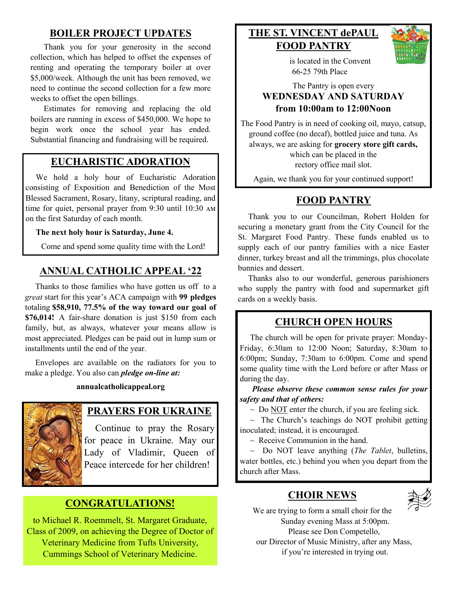## **BOILER PROJECT UPDATES**

Thank you for your generosity in the second collection, which has helped to offset the expenses of renting and operating the temporary boiler at over \$5,000/week. Although the unit has been removed, we need to continue the second collection for a few more weeks to offset the open billings.

Estimates for removing and replacing the old boilers are running in excess of \$450,000. We hope to begin work once the school year has ended. Substantial financing and fundraising will be required.

#### **EUCHARISTIC ADORATION**

 We hold a holy hour of Eucharistic Adoration consisting of Exposition and Benediction of the Most Blessed Sacrament, Rosary, litany, scriptural reading, and time for quiet, personal prayer from 9:30 until 10:30 am on the first Saturday of each month.

**The next holy hour is Saturday, June 4.** 

Come and spend some quality time with the Lord!

## **ANNUAL CATHOLIC APPEAL '22**

 Thanks to those families who have gotten us off to a *great* start for this year's ACA campaign with **99 pledges**  totaling **\$58,910, 77.5% of the way toward our goal of \$76,014!** A fair-share donation is just \$150 from each family, but, as always, whatever your means allow is most appreciated. Pledges can be paid out in lump sum or installments until the end of the year.

 Envelopes are available on the radiators for you to make a pledge. You also can *pledge on-line at:*

#### **annualcatholicappeal.org**



#### **PRAYERS FOR UKRAINE**

 Continue to pray the Rosary for peace in Ukraine. May our Lady of Vladimir, Queen of Peace intercede for her children!

#### **CONGRATULATIONS!**

to Michael R. Roemmelt, St. Margaret Graduate, Class of 2009, on achieving the Degree of Doctor of Veterinary Medicine from Tufts University, Cummings School of Veterinary Medicine.

## **THE ST. VINCENT dePAUL FOOD PANTRY**



 is located in the Convent 66-25 79th Place

#### The Pantry is open every **WEDNESDAY AND SATURDAY from 10:00am to 12:00Noon**

The Food Pantry is in need of cooking oil, mayo, catsup, ground coffee (no decaf), bottled juice and tuna. As always, we are asking for **grocery store gift cards,**  which can be placed in the rectory office mail slot.

Again, we thank you for your continued support!

### **FOOD PANTRY**

 Thank you to our Councilman, Robert Holden for securing a monetary grant from the City Council for the St. Margaret Food Pantry. These funds enabled us to supply each of our pantry families with a nice Easter dinner, turkey breast and all the trimmings, plus chocolate bunnies and dessert.

 Thanks also to our wonderful, generous parishioners who supply the pantry with food and supermarket gift cards on a weekly basis.

### **CHURCH OPEN HOURS**

 The church will be open for private prayer: Monday-Friday, 6:30am to 12:00 Noon; Saturday, 8:30am to 6:00pm; Sunday, 7:30am to 6:00pm. Come and spend some quality time with the Lord before or after Mass or during the day.

 *Please observe these common sense rules for your safety and that of others:*

 $\sim$  Do NOT enter the church, if you are feeling sick.

 $\sim$  The Church's teachings do NOT prohibit getting inoculated; instead, it is encouraged.

 $\sim$  Receive Communion in the hand.

 $\sim$  Do NOT leave anything (*The Tablet*, bulletins, water bottles, etc.) behind you when you depart from the church after Mass.

#### **CHOIR NEWS**



We are trying to form a small choir for the Sunday evening Mass at 5:00pm. Please see Don Competello, our Director of Music Ministry, after any Mass, if you're interested in trying out.